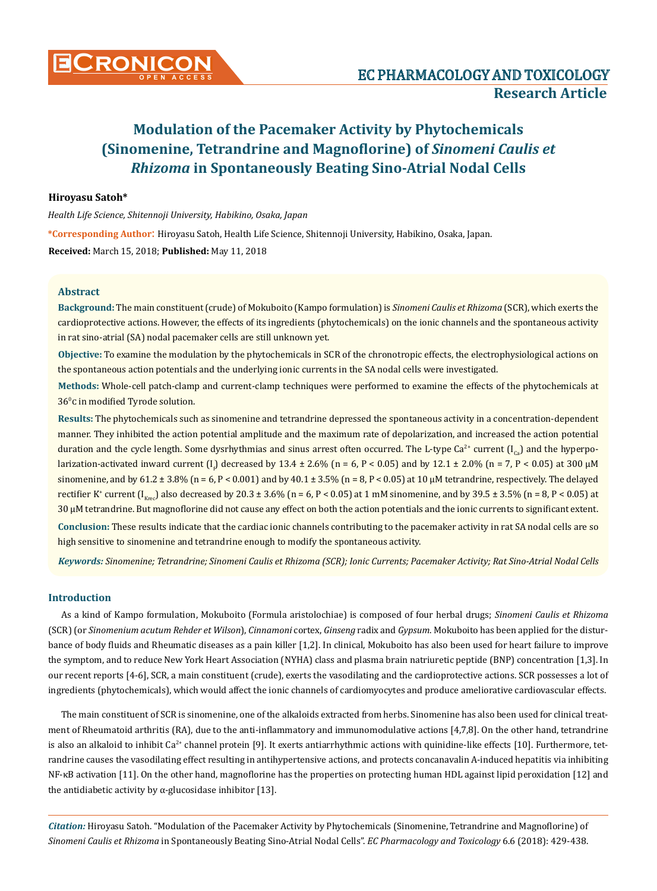# **Hiroyasu Satoh\***

*Health Life Science, Shitennoji University, Habikino, Osaka, Japan*

**\*Corresponding Author**: Hiroyasu Satoh, Health Life Science, Shitennoji University, Habikino, Osaka, Japan. **Received:** March 15, 2018; **Published:** May 11, 2018

# **Abstract**

**Background:** The main constituent (crude) of Mokuboito (Kampo formulation) is *Sinomeni Caulis et Rhizoma* (SCR), which exerts the cardioprotective actions. However, the effects of its ingredients (phytochemicals) on the ionic channels and the spontaneous activity in rat sino-atrial (SA) nodal pacemaker cells are still unknown yet.

**Objective:** To examine the modulation by the phytochemicals in SCR of the chronotropic effects, the electrophysiological actions on the spontaneous action potentials and the underlying ionic currents in the SA nodal cells were investigated.

**Methods:** Whole-cell patch-clamp and current-clamp techniques were performed to examine the effects of the phytochemicals at 36°C in modified Tyrode solution.

**Results:** The phytochemicals such as sinomenine and tetrandrine depressed the spontaneous activity in a concentration-dependent manner. They inhibited the action potential amplitude and the maximum rate of depolarization, and increased the action potential duration and the cycle length. Some dysrhythmias and sinus arrest often occurred. The L-type Ca<sup>2+</sup> current  $(I_{c_2})$  and the hyperpolarization-activated inward current  $\mathfrak{l}_i$  decreased by 13.4 ± 2.6% (n = 6, P < 0.05) and by 12.1 ± 2.0% (n = 7, P < 0.05) at 300  $\mu$ M sinomenine, and by  $61.2 \pm 3.8\%$  (n = 6, P < 0.001) and by  $40.1 \pm 3.5\%$  (n = 8, P < 0.05) at 10 µM tetrandrine, respectively. The delayed rectifier K\* current (I<sub>Krec</sub>) also decreased by 20.3 ± 3.6% (n = 6, P < 0.05) at 1 mM sinomenine, and by 39.5 ± 3.5% (n = 8, P < 0.05) at 30 µM tetrandrine. But magnoflorine did not cause any effect on both the action potentials and the ionic currents to significant extent.

**Conclusion:** These results indicate that the cardiac ionic channels contributing to the pacemaker activity in rat SA nodal cells are so high sensitive to sinomenine and tetrandrine enough to modify the spontaneous activity.

*Keywords: Sinomenine; Tetrandrine; Sinomeni Caulis et Rhizoma (SCR); Ionic Currents; Pacemaker Activity; Rat Sino-Atrial Nodal Cells*

# **Introduction**

As a kind of Kampo formulation, Mokuboito (Formula aristolochiae) is composed of four herbal drugs; *Sinomeni Caulis et Rhizoma* (SCR) (or *Sinomenium acutum Rehder et Wilson*), *Cinnamoni* cortex, *Ginseng* radix and *Gypsum*. Mokuboito has been applied for the disturbance of body fluids and Rheumatic diseases as a pain killer [1,2]. In clinical, Mokuboito has also been used for heart failure to improve the symptom, and to reduce New York Heart Association (NYHA) class and plasma brain natriuretic peptide (BNP) concentration [1,3]. In our recent reports [4-6], SCR, a main constituent (crude), exerts the vasodilating and the cardioprotective actions. SCR possesses a lot of ingredients (phytochemicals), which would affect the ionic channels of cardiomyocytes and produce ameliorative cardiovascular effects.

The main constituent of SCR is sinomenine, one of the alkaloids extracted from herbs. Sinomenine has also been used for clinical treatment of Rheumatoid arthritis (RA), due to the anti-inflammatory and immunomodulative actions [4,7,8]. On the other hand, tetrandrine is also an alkaloid to inhibit  $Ca^{2+}$  channel protein [9]. It exerts antiarrhythmic actions with quinidine-like effects [10]. Furthermore, tetrandrine causes the vasodilating effect resulting in antihypertensive actions, and protects concanavalin A-induced hepatitis via inhibiting NF-κB activation [11]. On the other hand, magnoflorine has the properties on protecting human HDL against lipid peroxidation [12] and the antidiabetic activity by  $\alpha$ -glucosidase inhibitor [13].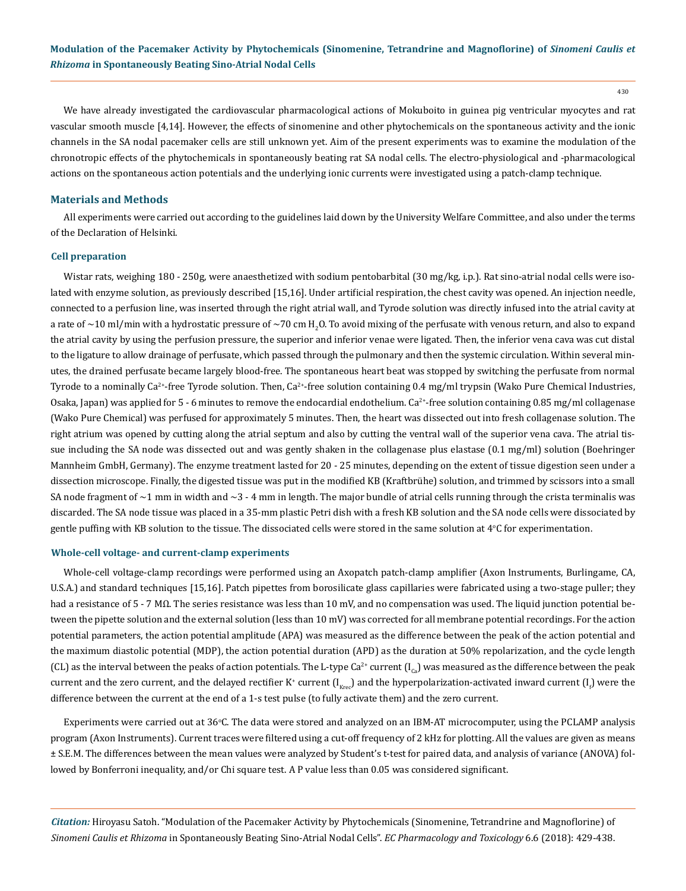We have already investigated the cardiovascular pharmacological actions of Mokuboito in guinea pig ventricular myocytes and rat vascular smooth muscle [4,14]. However, the effects of sinomenine and other phytochemicals on the spontaneous activity and the ionic channels in the SA nodal pacemaker cells are still unknown yet. Aim of the present experiments was to examine the modulation of the chronotropic effects of the phytochemicals in spontaneously beating rat SA nodal cells. The electro-physiological and -pharmacological actions on the spontaneous action potentials and the underlying ionic currents were investigated using a patch-clamp technique.

### **Materials and Methods**

All experiments were carried out according to the guidelines laid down by the University Welfare Committee, and also under the terms of the Declaration of Helsinki.

### **Cell preparation**

Wistar rats, weighing 180 - 250g, were anaesthetized with sodium pentobarbital (30 mg/kg, i.p.). Rat sino-atrial nodal cells were isolated with enzyme solution, as previously described [15,16]. Under artificial respiration, the chest cavity was opened. An injection needle, connected to a perfusion line, was inserted through the right atrial wall, and Tyrode solution was directly infused into the atrial cavity at a rate of  $\sim$ 10 ml/min with a hydrostatic pressure of  $\sim$ 70 cm H<sub>2</sub>O. To avoid mixing of the perfusate with venous return, and also to expand the atrial cavity by using the perfusion pressure, the superior and inferior venae were ligated. Then, the inferior vena cava was cut distal to the ligature to allow drainage of perfusate, which passed through the pulmonary and then the systemic circulation. Within several minutes, the drained perfusate became largely blood-free. The spontaneous heart beat was stopped by switching the perfusate from normal Tyrode to a nominally Ca<sup>2+</sup>-free Tyrode solution. Then, Ca<sup>2+</sup>-free solution containing 0.4 mg/ml trypsin (Wako Pure Chemical Industries, Osaka, Japan) was applied for 5 - 6 minutes to remove the endocardial endothelium.  $Ca^{2+}$ -free solution containing 0.85 mg/ml collagenase (Wako Pure Chemical) was perfused for approximately 5 minutes. Then, the heart was dissected out into fresh collagenase solution. The right atrium was opened by cutting along the atrial septum and also by cutting the ventral wall of the superior vena cava. The atrial tissue including the SA node was dissected out and was gently shaken in the collagenase plus elastase (0.1 mg/ml) solution (Boehringer Mannheim GmbH, Germany). The enzyme treatment lasted for 20 - 25 minutes, depending on the extent of tissue digestion seen under a dissection microscope. Finally, the digested tissue was put in the modified KB (Kraftbrühe) solution, and trimmed by scissors into a small SA node fragment of  $\sim$ 1 mm in width and  $\sim$ 3 - 4 mm in length. The major bundle of atrial cells running through the crista terminalis was discarded. The SA node tissue was placed in a 35-mm plastic Petri dish with a fresh KB solution and the SA node cells were dissociated by gentle puffing with KB solution to the tissue. The dissociated cells were stored in the same solution at  $4^{\circ}$ C for experimentation.

### **Whole-cell voltage- and current-clamp experiments**

Whole-cell voltage-clamp recordings were performed using an Axopatch patch-clamp amplifier (Axon Instruments, Burlingame, CA, U.S.A.) and standard techniques [15,16]. Patch pipettes from borosilicate glass capillaries were fabricated using a two-stage puller; they had a resistance of 5 - 7 MΩ. The series resistance was less than 10 mV, and no compensation was used. The liquid junction potential between the pipette solution and the external solution (less than 10 mV) was corrected for all membrane potential recordings. For the action potential parameters, the action potential amplitude (APA) was measured as the difference between the peak of the action potential and the maximum diastolic potential (MDP), the action potential duration (APD) as the duration at 50% repolarization, and the cycle length (CL) as the interval between the peaks of action potentials. The L-type Ca<sup>2+</sup> current  $(I_{c_2})$  was measured as the difference between the peak current and the zero current, and the delayed rectifier K\* current (I $_{\rm Krec}$ ) and the hyperpolarization-activated inward current (I<sub>f</sub>) were the difference between the current at the end of a 1-s test pulse (to fully activate them) and the zero current.

Experiments were carried out at 36°C. The data were stored and analyzed on an IBM-AT microcomputer, using the PCLAMP analysis program (Axon Instruments). Current traces were filtered using a cut-off frequency of 2 kHz for plotting. All the values are given as means ± S.E.M. The differences between the mean values were analyzed by Student's t-test for paired data, and analysis of variance (ANOVA) followed by Bonferroni inequality, and/or Chi square test. A P value less than 0.05 was considered significant.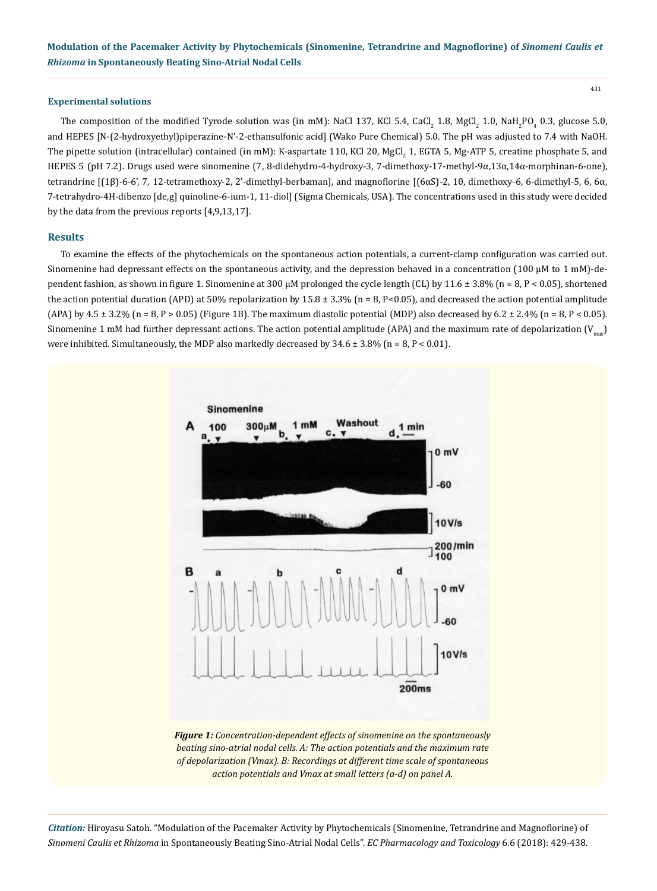### **Experimental solutions**

The composition of the modified Tyrode solution was (in mM): NaCl 137, KCl 5.4, CaCl<sub>2</sub> 1.8, MgCl<sub>2</sub> 1.0, NaH<sub>2</sub>PO<sub>4</sub> 0.3, glucose 5.0, and HEPES [N-(2-hydroxyethyl)piperazine-N'-2-ethansulfonic acid] (Wako Pure Chemical) 5.0. The pH was adjusted to 7.4 with NaOH. The pipette solution (intracellular) contained (in mM): K-aspartate 110, KCl 20, MgCl<sub>2</sub> 1, EGTA 5, Mg-ATP 5, creatine phosphate 5, and HEPES 5 (pH 7.2). Drugs used were sinomenine (7, 8-didehydro-4-hydroxy-3, 7-dimethoxy-17-methyl-9α,13α,14α-morphinan-6-one), tetrandrine [(1β)-6-6', 7, 12-tetramethoxy-2, 2'-dimethyl-berbaman], and magnoflorine [(6αS)-2, 10, dimethoxy-6, 6-dimethyl-5, 6, 6α, 7-tetrahydro-4H-dibenzo [de,g] quinoline-6-ium-1, 11-diol] (Sigma Chemicals, USA). The concentrations used in this study were decided by the data from the previous reports [4,9,13,17].

### **Results**

To examine the effects of the phytochemicals on the spontaneous action potentials, a current-clamp configuration was carried out. Sinomenine had depressant effects on the spontaneous activity, and the depression behaved in a concentration (100 µM to 1 mM)-dependent fashion, as shown in figure 1. Sinomenine at 300  $\mu$ M prolonged the cycle length (CL) by 11.6  $\pm$  3.8% (n = 8, P < 0.05), shortened the action potential duration (APD) at 50% repolarization by  $15.8 \pm 3.3\%$  (n = 8, P<0.05), and decreased the action potential amplitude (APA) by  $4.5 \pm 3.2\%$  (n = 8, P > 0.05) (Figure 1B). The maximum diastolic potential (MDP) also decreased by  $6.2 \pm 2.4\%$  (n = 8, P < 0.05). Sinomenine 1 mM had further depressant actions. The action potential amplitude (APA) and the maximum rate of depolarization  $(V_{\text{max}})$ were inhibited. Simultaneously, the MDP also markedly decreased by  $34.6 \pm 3.8\%$  (n = 8, P < 0.01).



*Figure 1: Concentration-dependent effects of sinomenine on the spontaneously beating sino-atrial nodal cells. A: The action potentials and the maximum rate of depolarization (Vmax). B: Recordings at different time scale of spontaneous action potentials and Vmax at small letters (a-d) on panel A.*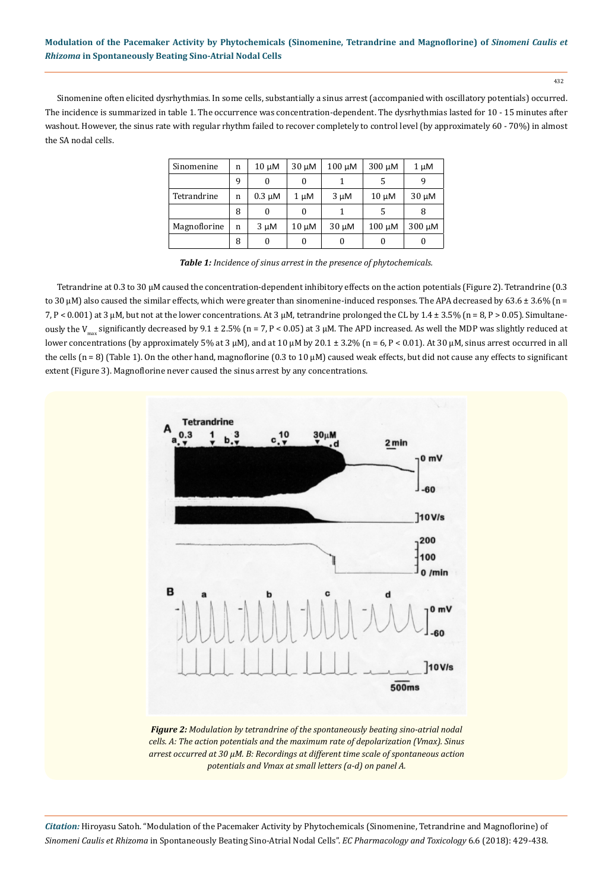432

Sinomenine often elicited dysrhythmias. In some cells, substantially a sinus arrest (accompanied with oscillatory potentials) occurred. The incidence is summarized in table 1. The occurrence was concentration-dependent. The dysrhythmias lasted for 10 - 15 minutes after washout. However, the sinus rate with regular rhythm failed to recover completely to control level (by approximately 60 - 70%) in almost the SA nodal cells.

| Sinomenine   | n | $10 \mu M$  | $30 \mu M$ | $100 \mu M$ | 300 µM      | $1 \mu M$   |
|--------------|---|-------------|------------|-------------|-------------|-------------|
|              | 9 | 0           | 0          |             |             |             |
| Tetrandrine  | n | $0.3 \mu M$ | $1 \mu M$  | $3 \mu M$   | $10 \mu M$  | $30 \mu M$  |
|              | 8 | 0           | $\theta$   |             |             |             |
| Magnoflorine | n | $3 \mu M$   | $10 \mu M$ | $30 \mu M$  | $100 \mu M$ | $300 \mu M$ |
|              | 8 | 0           | 0          |             | 0           |             |

*Table 1: Incidence of sinus arrest in the presence of phytochemicals.*

Tetrandrine at 0.3 to 30 µM caused the concentration-dependent inhibitory effects on the action potentials (Figure 2). Tetrandrine (0.3 to 30  $\mu$ M) also caused the similar effects, which were greater than sinomenine-induced responses. The APA decreased by 63.6  $\pm$  3.6% (n = 7, P < 0.001) at 3 µM, but not at the lower concentrations. At 3 µM, tetrandrine prolonged the CL by 1.4 ± 3.5% (n = 8, P > 0.05). Simultaneously the V<sub>am</sub> significantly decreased by 9.1  $\pm$  2.5% (n = 7, P < 0.05) at 3 µM. The APD increased. As well the MDP was slightly reduced at lower concentrations (by approximately 5% at 3 μM), and at 10 μM by 20.1 ± 3.2% (n = 6, P < 0.01). At 30 μM, sinus arrest occurred in all the cells (n = 8) (Table 1). On the other hand, magnoflorine (0.3 to 10  $\mu$ M) caused weak effects, but did not cause any effects to significant extent (Figure 3). Magnoflorine never caused the sinus arrest by any concentrations.



*Figure 2: Modulation by tetrandrine of the spontaneously beating sino-atrial nodal cells. A: The action potentials and the maximum rate of depolarization (Vmax). Sinus arrest occurred at 30 µM. B: Recordings at different time scale of spontaneous action potentials and Vmax at small letters (a-d) on panel A.*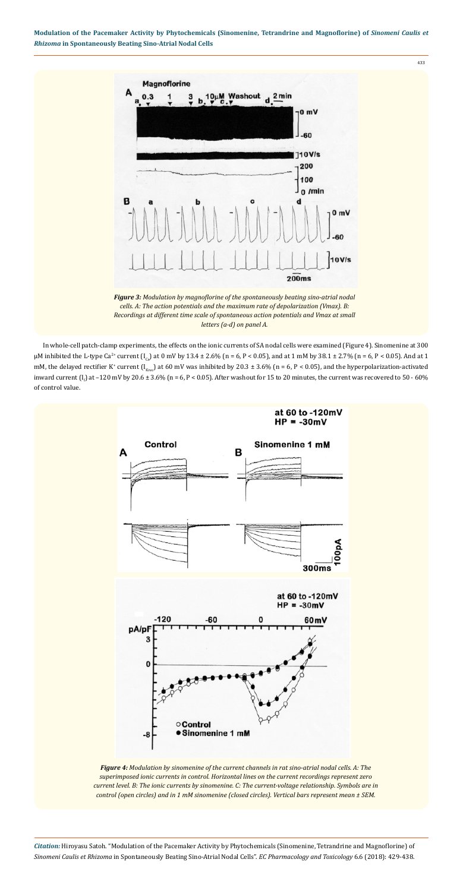*Citation:* Hiroyasu Satoh. "Modulation of the Pacemaker Activity by Phytochemicals (Sinomenine, Tetrandrine and Magnoflorine) of *Sinomeni Caulis et Rhizoma* in Spontaneously Beating Sino-Atrial Nodal Cells". *EC Pharmacology and Toxicology* 6.6 (2018): 429-438.

**Modulation of the Pacemaker Activity by Phytochemicals (Sinomenine, Tetrandrine and Magnoflorine) of** *Sinomeni Caulis et Rhizoma* **in Spontaneously Beating Sino-Atrial Nodal Cells**



In whole-cell patch-clamp experiments, the effects on the ionic currents of SA nodal cells were examined (Figure 4). Sinomenine at 300 µM inhibited the L-type Ca<sup>2+</sup> current  $[I_{C_2}]$  at 0 mV by 13.4 ± 2.6% (n = 6, P < 0.05), and at 1 mM by 38.1 ± 2.7% (n = 6, P < 0.05). And at 1 mM, the delayed rectifier K<sup>+</sup> current (I<sub>Krec</sub>) at 60 mV was inhibited by 20.3 ± 3.6% (n = 6, P < 0.05), and the hyperpolarization-activated inward current (I<sub>f</sub>) at –120 mV by 20.6 ± 3.6% (n = 6, P < 0.05). After washout for 15 to 20 minutes, the current was recovered to 50 - 60% of control value.





*Figure 4: Modulation by sinomenine of the current channels in rat sino-atrial nodal cells. A: The superimposed ionic currents in control. Horizontal lines on the current recordings represent zero current level. B: The ionic currents by sinomenine. C: The current-voltage relationship. Symbols are in control (open circles) and in 1 mM sinomenine (closed circles). Vertical bars represent mean ± SEM.*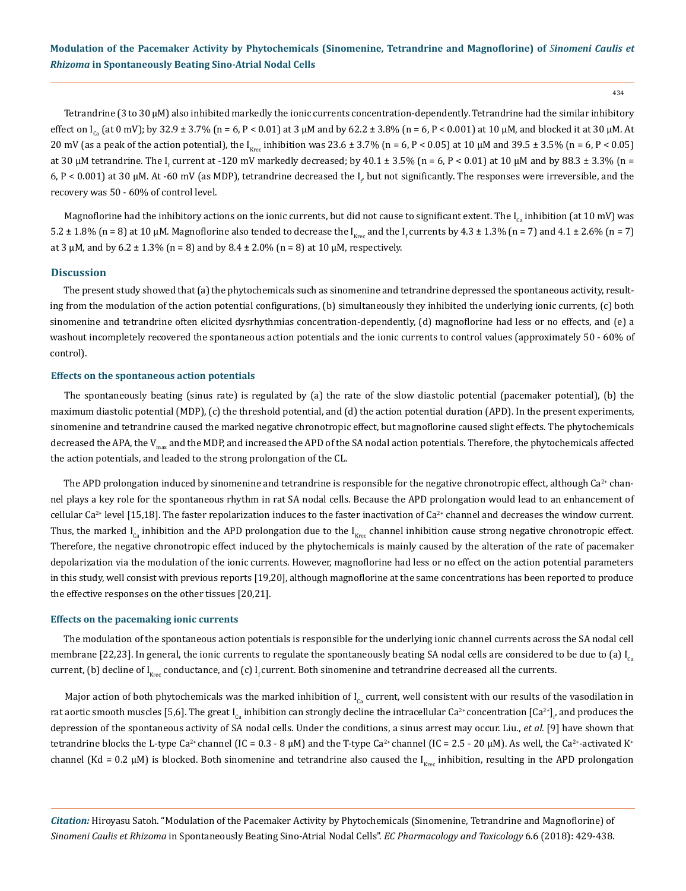434

Tetrandrine (3 to 30 µM) also inhibited markedly the ionic currents concentration-dependently. Tetrandrine had the similar inhibitory effect on  $I_{C_2}$  (at 0 mV); by 32.9 ± 3.7% (n = 6, P < 0.01) at 3 µM and by 62.2 ± 3.8% (n = 6, P < 0.001) at 10 µM, and blocked it at 30 µM. At 20 mV (as a peak of the action potential), the I<sub>Krec</sub> inhibition was  $23.6 \pm 3.7\%$  (n = 6, P < 0.05) at 10 µM and  $39.5 \pm 3.5\%$  (n = 6, P < 0.05) at 30  $\mu$ M tetrandrine. The I<sub>f</sub> current at -120 mV markedly decreased; by 40.1 ± 3.5% (n = 6, P < 0.01) at 10  $\mu$ M and by 88.3 ± 3.3% (n = 6, P < 0.001) at 30  $\mu$ M. At -60 mV (as MDP), tetrandrine decreased the  $I_p$  but not significantly. The responses were irreversible, and the recovery was 50 - 60% of control level.

Magnoflorine had the inhibitory actions on the ionic currents, but did not cause to significant extent. The  $I_{ca}$  inhibition (at 10 mV) was 5.2  $\pm$  1.8% (n = 8) at 10 µM. Magnoflorine also tended to decrease the I<sub>Krec</sub> and the I<sub>f</sub> currents by 4.3  $\pm$  1.3% (n = 7) and 4.1  $\pm$  2.6% (n = 7) at 3 μM, and by  $6.2 \pm 1.3$ % (n = 8) and by  $8.4 \pm 2.0$ % (n = 8) at 10 μM, respectively.

### **Discussion**

The present study showed that (a) the phytochemicals such as sinomenine and tetrandrine depressed the spontaneous activity, resulting from the modulation of the action potential configurations, (b) simultaneously they inhibited the underlying ionic currents, (c) both sinomenine and tetrandrine often elicited dysrhythmias concentration-dependently, (d) magnoflorine had less or no effects, and (e) a washout incompletely recovered the spontaneous action potentials and the ionic currents to control values (approximately 50 - 60% of control).

### **Effects on the spontaneous action potentials**

The spontaneously beating (sinus rate) is regulated by (a) the rate of the slow diastolic potential (pacemaker potential), (b) the maximum diastolic potential (MDP), (c) the threshold potential, and (d) the action potential duration (APD). In the present experiments, sinomenine and tetrandrine caused the marked negative chronotropic effect, but magnoflorine caused slight effects. The phytochemicals decreased the APA, the V<sub>max</sub> and the MDP, and increased the APD of the SA nodal action potentials. Therefore, the phytochemicals affected the action potentials, and leaded to the strong prolongation of the CL.

The APD prolongation induced by sinomenine and tetrandrine is responsible for the negative chronotropic effect, although  $Ca<sup>2+</sup>$  channel plays a key role for the spontaneous rhythm in rat SA nodal cells. Because the APD prolongation would lead to an enhancement of cellular Ca<sup>2+</sup> level [15,18]. The faster repolarization induces to the faster inactivation of Ca<sup>2+</sup> channel and decreases the window current. Thus, the marked  $I_{C_2}$  inhibition and the APD prolongation due to the  $I_{Krec}$  channel inhibition cause strong negative chronotropic effect. Therefore, the negative chronotropic effect induced by the phytochemicals is mainly caused by the alteration of the rate of pacemaker depolarization via the modulation of the ionic currents. However, magnoflorine had less or no effect on the action potential parameters in this study, well consist with previous reports [19,20], although magnoflorine at the same concentrations has been reported to produce the effective responses on the other tissues [20,21].

#### **Effects on the pacemaking ionic currents**

The modulation of the spontaneous action potentials is responsible for the underlying ionic channel currents across the SA nodal cell membrane [22,23]. In general, the ionic currents to regulate the spontaneously beating SA nodal cells are considered to be due to (a)  $I_{c}$ current, (b) decline of  $I_{Krec}$  conductance, and (c)  $I_f$  current. Both sinomenine and tetrandrine decreased all the currents.

Major action of both phytochemicals was the marked inhibition of  $I_{c}$  current, well consistent with our results of the vasodilation in rat aortic smooth muscles [5,6]. The great I<sub>ca</sub> inhibition can strongly decline the intracellular Ca<sup>2+</sup> concentration [Ca<sup>2+</sup>]<sub>i</sub>, and produces the depression of the spontaneous activity of SA nodal cells. Under the conditions, a sinus arrest may occur. Liu., *et al.* [9] have shown that tetrandrine blocks the L-type Ca<sup>2+</sup> channel (IC = 0.3 - 8 µM) and the T-type Ca<sup>2+</sup> channel (IC = 2.5 - 20 µM). As well, the Ca<sup>2+</sup>-activated K<sup>+</sup> channel (Kd = 0.2  $\mu$ M) is blocked. Both sinomenine and tetrandrine also caused the I<sub>Krec</sub> inhibition, resulting in the APD prolongation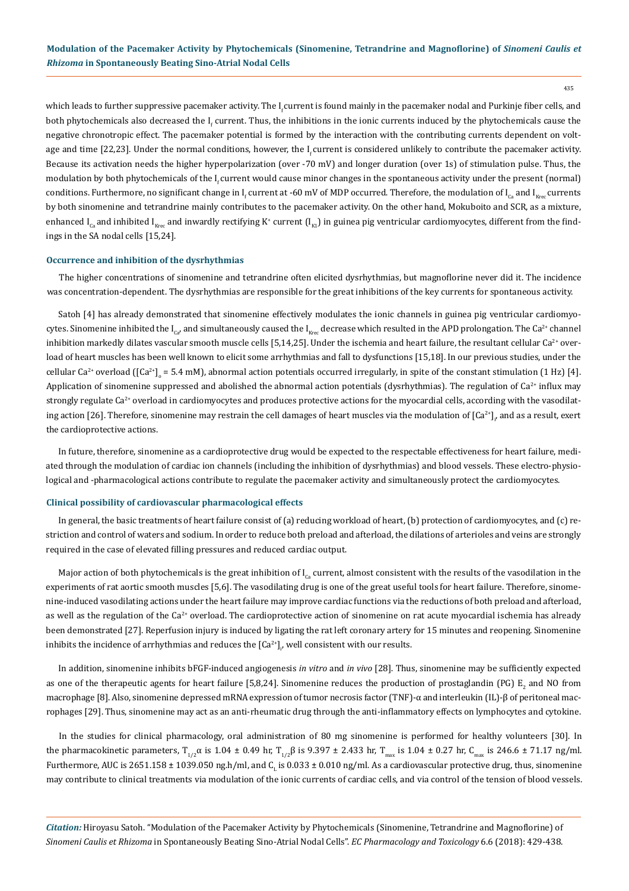which leads to further suppressive pacemaker activity. The I<sub>c</sub>current is found mainly in the pacemaker nodal and Purkinje fiber cells, and both phytochemicals also decreased the  $I_f$  current. Thus, the inhibitions in the ionic currents induced by the phytochemicals cause the negative chronotropic effect. The pacemaker potential is formed by the interaction with the contributing currents dependent on voltage and time [22,23]. Under the normal conditions, however, the I<sub>f</sub> current is considered unlikely to contribute the pacemaker activity. Because its activation needs the higher hyperpolarization (over -70 mV) and longer duration (over 1s) of stimulation pulse. Thus, the modulation by both phytochemicals of the I<sub>c</sub>current would cause minor changes in the spontaneous activity under the present (normal) conditions. Furthermore, no significant change in  $\rm I_f$  current at -60 mV of MDP occurred. Therefore, the modulation of  $\rm I_{Ga}$  and  $\rm I_{Krec}$ currents by both sinomenine and tetrandrine mainly contributes to the pacemaker activity. On the other hand, Mokuboito and SCR, as a mixture, enhanced I<sub>ca</sub> and inhibited I<sub>Krec</sub> and inwardly rectifying K\* current (I<sub>K1</sub>) in guinea pig ventricular cardiomyocytes, different from the findings in the SA nodal cells [15,24].

## **Occurrence and inhibition of the dysrhythmias**

The higher concentrations of sinomenine and tetrandrine often elicited dysrhythmias, but magnoflorine never did it. The incidence was concentration-dependent. The dysrhythmias are responsible for the great inhibitions of the key currents for spontaneous activity.

Satoh [4] has already demonstrated that sinomenine effectively modulates the ionic channels in guinea pig ventricular cardiomyocytes. Sinomenine inhibited the I<sub>Ca</sub>, and simultaneously caused the I<sub>Krec</sub> decrease which resulted in the APD prolongation. The Ca<sup>2+</sup> channel inhibition markedly dilates vascular smooth muscle cells [5,14,25]. Under the ischemia and heart failure, the resultant cellular  $Ca<sup>2+</sup>$  overload of heart muscles has been well known to elicit some arrhythmias and fall to dysfunctions [15,18]. In our previous studies, under the cellular Ca<sup>2+</sup> overload ([Ca<sup>2+</sup>]<sub>o</sub> = 5.4 mM), abnormal action potentials occurred irregularly, in spite of the constant stimulation (1 Hz) [4]. Application of sinomenine suppressed and abolished the abnormal action potentials (dysrhythmias). The regulation of  $Ca<sup>2+</sup>$  influx may strongly regulate Ca<sup>2+</sup> overload in cardiomyocytes and produces protective actions for the myocardial cells, according with the vasodilating action [26]. Therefore, sinomenine may restrain the cell damages of heart muscles via the modulation of [Ca<sup>2+</sup>]<sub>!</sub>, and as a result, exert the cardioprotective actions.

In future, therefore, sinomenine as a cardioprotective drug would be expected to the respectable effectiveness for heart failure, mediated through the modulation of cardiac ion channels (including the inhibition of dysrhythmias) and blood vessels. These electro-physiological and -pharmacological actions contribute to regulate the pacemaker activity and simultaneously protect the cardiomyocytes.

#### **Clinical possibility of cardiovascular pharmacological effects**

In general, the basic treatments of heart failure consist of (a) reducing workload of heart, (b) protection of cardiomyocytes, and (c) restriction and control of waters and sodium. In order to reduce both preload and afterload, the dilations of arterioles and veins are strongly required in the case of elevated filling pressures and reduced cardiac output.

Major action of both phytochemicals is the great inhibition of  $I_{Ca}$  current, almost consistent with the results of the vasodilation in the experiments of rat aortic smooth muscles [5,6]. The vasodilating drug is one of the great useful tools for heart failure. Therefore, sinomenine-induced vasodilating actions under the heart failure may improve cardiac functions via the reductions of both preload and afterload, as well as the regulation of the  $Ca^{2+}$  overload. The cardioprotective action of sinomenine on rat acute myocardial ischemia has already been demonstrated [27]. Reperfusion injury is induced by ligating the rat left coronary artery for 15 minutes and reopening. Sinomenine inhibits the incidence of arrhythmias and reduces the  ${\rm [Ca^{2+}]}_{i}$ , well consistent with our results.

In addition, sinomenine inhibits bFGF-induced angiogenesis *in vitro* and *in vivo* [28]. Thus, sinomenine may be sufficiently expected as one of the therapeutic agents for heart failure [5,8,24]. Sinomenine reduces the production of prostaglandin (PG)  $\rm E_{2}$  and NO from macrophage [8]. Also, sinomenine depressed mRNA expression of tumor necrosis factor (TNF)-α and interleukin (IL)-β of peritoneal macrophages [29]. Thus, sinomenine may act as an anti-rheumatic drug through the anti-inflammatory effects on lymphocytes and cytokine.

In the studies for clinical pharmacology, oral administration of 80 mg sinomenine is performed for healthy volunteers [30]. In the pharmacokinetic parameters,  $T_{1/2}$ α is 1.04 ± 0.49 hr,  $T_{1/2}$ β is 9.397 ± 2.433 hr,  $T_{max}$  is 1.04 ± 0.27 hr,  $C_{max}$  is 246.6 ± 71.17 ng/ml. Furthermore, AUC is 2651.158 ± 1039.050 ng.h/ml, and C<sub>L</sub> is 0.033 ± 0.010 ng/ml. As a cardiovascular protective drug, thus, sinomenine may contribute to clinical treatments via modulation of the ionic currents of cardiac cells, and via control of the tension of blood vessels.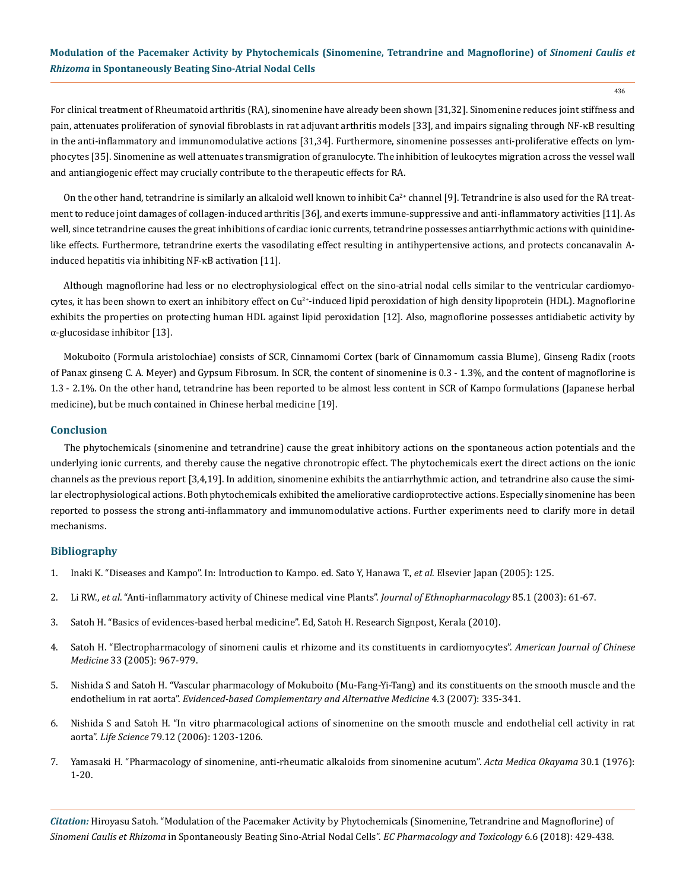For clinical treatment of Rheumatoid arthritis (RA), sinomenine have already been shown [31,32]. Sinomenine reduces joint stiffness and pain, attenuates proliferation of synovial fibroblasts in rat adjuvant arthritis models [33], and impairs signaling through NF-κB resulting in the anti-inflammatory and immunomodulative actions [31,34]. Furthermore, sinomenine possesses anti-proliferative effects on lymphocytes [35]. Sinomenine as well attenuates transmigration of granulocyte. The inhibition of leukocytes migration across the vessel wall and antiangiogenic effect may crucially contribute to the therapeutic effects for RA.

On the other hand, tetrandrine is similarly an alkaloid well known to inhibit  $Ca^{2+}$  channel [9]. Tetrandrine is also used for the RA treatment to reduce joint damages of collagen-induced arthritis [36], and exerts immune-suppressive and anti-inflammatory activities [11]. As well, since tetrandrine causes the great inhibitions of cardiac ionic currents, tetrandrine possesses antiarrhythmic actions with quinidinelike effects. Furthermore, tetrandrine exerts the vasodilating effect resulting in antihypertensive actions, and protects concanavalin Ainduced hepatitis via inhibiting NF-κB activation [11].

Although magnoflorine had less or no electrophysiological effect on the sino-atrial nodal cells similar to the ventricular cardiomyocytes, it has been shown to exert an inhibitory effect on  $Cu^{2+}$ -induced lipid peroxidation of high density lipoprotein (HDL). Magnoflorine exhibits the properties on protecting human HDL against lipid peroxidation [12]. Also, magnoflorine possesses antidiabetic activity by α-glucosidase inhibitor [13].

Mokuboito (Formula aristolochiae) consists of SCR, Cinnamomi Cortex (bark of Cinnamomum cassia Blume), Ginseng Radix (roots of Panax ginseng C. A. Meyer) and Gypsum Fibrosum. In SCR, the content of sinomenine is 0.3 - 1.3%, and the content of magnoflorine is 1.3 - 2.1%. On the other hand, tetrandrine has been reported to be almost less content in SCR of Kampo formulations (Japanese herbal medicine), but be much contained in Chinese herbal medicine [19].

### **Conclusion**

The phytochemicals (sinomenine and tetrandrine) cause the great inhibitory actions on the spontaneous action potentials and the underlying ionic currents, and thereby cause the negative chronotropic effect. The phytochemicals exert the direct actions on the ionic channels as the previous report [3,4,19]. In addition, sinomenine exhibits the antiarrhythmic action, and tetrandrine also cause the similar electrophysiological actions. Both phytochemicals exhibited the ameliorative cardioprotective actions. Especially sinomenine has been reported to possess the strong anti-inflammatory and immunomodulative actions. Further experiments need to clarify more in detail mechanisms.

### **Bibliography**

- 1. Inaki K. "Diseases and Kampo". In: Introduction to Kampo. ed. Sato Y, Hanawa T., *et al*. Elsevier Japan (2005): 125.
- 2. Li RW., *et al*[. "Anti-inflammatory activity of Chinese medical vine Plants".](https://www.ncbi.nlm.nih.gov/pubmed/12576203) *Journal of Ethnopharmacology* 85.1 (2003): 61-67.
- 3. Satoh H. "Basics of evidences-based herbal medicine". Ed, Satoh H. Research Signpost, Kerala (2010).
- 4. Satoh H. "Electropharmacology of sinomeni caulis et rhizome and its constituents in cardiomyocytes". *American Journal of Chinese Medicine* 33 (2005): 967-979.
- 5. [Nishida S and Satoh H. "Vascular pharmacology of Mokuboito \(Mu-Fang-Yi-Tang\) and its constituents on the smooth muscle and the](https://www.ncbi.nlm.nih.gov/pubmed/17965764)  endothelium in rat aorta". *[Evidenced-based Complementary and Alternative Medicine](https://www.ncbi.nlm.nih.gov/pubmed/17965764)* 4.3 (2007): 335-341.
- 6. [Nishida S and Satoh H. "In vitro pharmacological actions of sinomenine on the smooth muscle and endothelial cell activity in rat](https://www.ncbi.nlm.nih.gov/pubmed/16643957)  aorta". *Life Science* [79.12 \(2006\): 1203-1206.](https://www.ncbi.nlm.nih.gov/pubmed/16643957)
- 7. [Yamasaki H. "Pharmacology of sinomenine, anti-rheumatic alkaloids from sinomenine acutum".](https://www.ncbi.nlm.nih.gov/pubmed/61710) *Acta Medica Okayama* 30.1 (1976): [1-20.](https://www.ncbi.nlm.nih.gov/pubmed/61710)

*Citation:* Hiroyasu Satoh. "Modulation of the Pacemaker Activity by Phytochemicals (Sinomenine, Tetrandrine and Magnoflorine) of *Sinomeni Caulis et Rhizoma* in Spontaneously Beating Sino-Atrial Nodal Cells". *EC Pharmacology and Toxicology* 6.6 (2018): 429-438.

436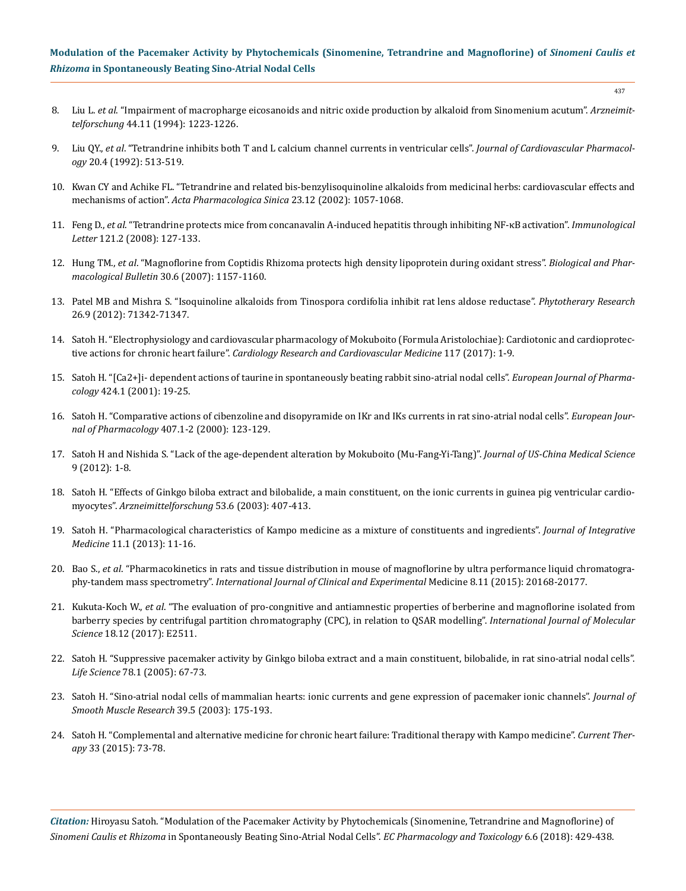- 8. Liu L. *et al*[. "Impairment of macropharge eicosanoids and nitric oxide production by alkaloid from Sinomenium acutum".](https://www.ncbi.nlm.nih.gov/pubmed/7848335) *Arzneimittelforschung* [44.11 \(1994\): 1223-1226.](https://www.ncbi.nlm.nih.gov/pubmed/7848335)
- 9. Liu QY., *et al*[. "Tetrandrine inhibits both T and L calcium channel currents in ventricular cells".](https://www.ncbi.nlm.nih.gov/pubmed/1280704) *Journal of Cardiovascular Pharmacology* [20.4 \(1992\): 513-519.](https://www.ncbi.nlm.nih.gov/pubmed/1280704)
- 10. [Kwan CY and Achike FL. "Tetrandrine and related bis-benzylisoquinoline alkaloids from medicinal herbs: cardiovascular effects and](https://www.ncbi.nlm.nih.gov/pubmed/12466042)  mechanisms of action". *[Acta Pharmacologica Sinica](https://www.ncbi.nlm.nih.gov/pubmed/12466042)* 23.12 (2002): 1057-1068.
- 11. Feng D., *et al*[. "Tetrandrine protects mice from concanavalin A-induced hepatitis through inhibiting NF-κB activation".](https://www.sciencedirect.com/science/article/abs/pii/S016524780800223X) *Immunological Letter* [121.2 \(2008\): 127-133.](https://www.sciencedirect.com/science/article/abs/pii/S016524780800223X)
- 12. Hung TM., *et al*[. "Magnoflorine from Coptidis Rhizoma protects high density lipoprotein during oxidant stress".](https://www.ncbi.nlm.nih.gov/pubmed/17541173) *Biological and Pharmacological Bulletin* [30.6 \(2007\): 1157-1160.](https://www.ncbi.nlm.nih.gov/pubmed/17541173)
- 13. [Patel MB and Mishra S. "Isoquinoline alkaloids from Tinospora cordifolia inhibit rat lens aldose reductase".](https://www.ncbi.nlm.nih.gov/pubmed/22294283) *Phytotherary Research*  [26.9 \(2012\): 71342-71347.](https://www.ncbi.nlm.nih.gov/pubmed/22294283)
- 14. [Satoh H. "Electrophysiology and cardiovascular pharmacology of Mokuboito \(Formula Aristolochiae\): Cardiotonic and cardioprotec](https://gavinpublishers.com/articles/Research-Article/Cardiology-Research-and-Cardiovascular-Medicine/Electrophysiology-and-Cardiovascular-Pharmacology-of-Mokuboito-Formula-Aristolochiae-Cardiotonic-and)tive actions for chronic heart failure". *[Cardiology Research and Cardiovascular Medicine](https://gavinpublishers.com/articles/Research-Article/Cardiology-Research-and-Cardiovascular-Medicine/Electrophysiology-and-Cardiovascular-Pharmacology-of-Mokuboito-Formula-Aristolochiae-Cardiotonic-and)* 117 (2017): 1-9.
- 15. [Satoh H. "\[Ca2+\]i- dependent actions of taurine in spontaneously beating rabbit sino-atrial nodal cells".](https://www.ncbi.nlm.nih.gov/pubmed/11470256) *European Journal of Pharmacology* [424.1 \(2001\): 19-25.](https://www.ncbi.nlm.nih.gov/pubmed/11470256)
- 16. [Satoh H. "Comparative actions of cibenzoline and disopyramide on IKr and IKs currents in rat sino-atrial nodal cells".](https://www.sciencedirect.com/science/article/pii/S0014299900007342) *European Journal of Pharmacology* [407.1-2 \(2000\): 123-129.](https://www.sciencedirect.com/science/article/pii/S0014299900007342)
- 17. [Satoh H and Nishida S. "Lack of the age-dependent alteration by Mokuboito \(Mu-Fang-Yi-Tang\)".](https://www.researchgate.net/publication/309586334_Lack_of_the_Age-Dependent_Alteration_in_Mokuboito_Mu-Fang-Yi-Tang) *Journal of US-China Medical Science* [9 \(2012\): 1-8.](https://www.researchgate.net/publication/309586334_Lack_of_the_Age-Dependent_Alteration_in_Mokuboito_Mu-Fang-Yi-Tang)
- 18. [Satoh H. "Effects of Ginkgo biloba extract and bilobalide, a main constituent, on the ionic currents in guinea pig ventricular cardio](https://www.ncbi.nlm.nih.gov/pubmed/12872611)myocytes". *[Arzneimittelforschung](https://www.ncbi.nlm.nih.gov/pubmed/12872611)* 53.6 (2003): 407-413.
- 19. [Satoh H. "Pharmacological characteristics of Kampo medicine as a mixture of constituents and ingredients".](https://www.ncbi.nlm.nih.gov/pubmed/23464641) *Journal of Integrative Medicine* [11.1 \(2013\): 11-16.](https://www.ncbi.nlm.nih.gov/pubmed/23464641)
- 20. Bao S., *et al*[. "Pharmacokinetics in rats and tissue distribution in mouse of magnoflorine by ultra performance liquid chromatogra](https://www.ncbi.nlm.nih.gov/pubmed/26884929)phy-tandem mass spectrometry". *[International Journal of Clinical and Experimental](https://www.ncbi.nlm.nih.gov/pubmed/26884929)* Medicine 8.11 (2015): 20168-20177.
- 21. Kukuta-Koch W., *et al*[. "The evaluation of pro-congnitive and antiamnestic properties of berberine and magnoflorine isolated from](https://www.ncbi.nlm.nih.gov/pubmed/29186770)  [barberry species by centrifugal partition chromatography \(CPC\), in relation to QSAR modelling".](https://www.ncbi.nlm.nih.gov/pubmed/29186770) *International Journal of Molecular Science* [18.12 \(2017\): E2511.](https://www.ncbi.nlm.nih.gov/pubmed/29186770)
- 22. [Satoh H. "Suppressive pacemaker activity by Ginkgo biloba extract and a main constituent, bilobalide, in rat sino-atrial nodal cells".](https://www.ncbi.nlm.nih.gov/pubmed/16182317)  *Life Science* [78.1 \(2005\): 67-73.](https://www.ncbi.nlm.nih.gov/pubmed/16182317)
- 23. [Satoh H. "Sino-atrial nodal cells of mammalian hearts: ionic currents and gene expression of pacemaker ionic channels".](https://www.ncbi.nlm.nih.gov/pubmed/14695028) *Journal of [Smooth Muscle Research](https://www.ncbi.nlm.nih.gov/pubmed/14695028)* 39.5 (2003): 175-193.
- 24. Satoh H. "Complemental and alternative medicine for chronic heart failure: Traditional therapy with Kampo medicine". *Current Therapy* 33 (2015): 73-78.